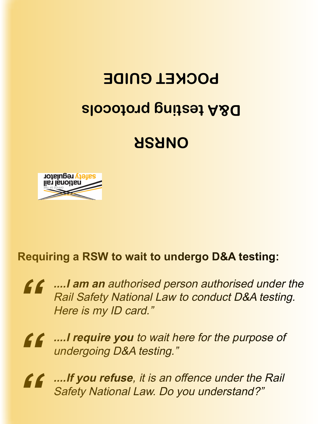## **D&A testing protocols POCKET GUIDE**

## **ONRSR**



## **Requiring a RSW to wait to undergo D&A testing:**

**" ....I am an** authorised person authorised under the Rail Safety National Law to conduct D&A testing. Here is my ID card."

**" ....I require you** to wait here for the purpose of undergoing D&A testing."

**" ....If you refuse**, it is an offence under the Rail Safety National Law. Do you understand?"